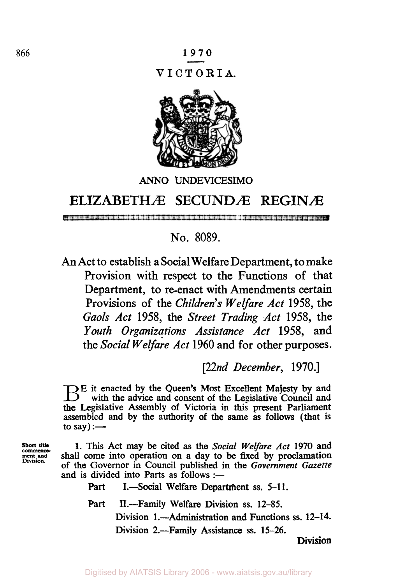

## *ANN0* **UNDEVICESIMO**

## **ELIZABETHÆ SECUNDÆ Æ**

No. 8089.

An Act to establish a Social Welfare Department, to make Provision with respect to the Functions of that Department, to re-enact with Amendments certain Provisions of the *Children's Welfare Act* 1958, the *Gaols Act* 1958, the *Street Trading Act* 1958, the *Youth Organizations Assistance Act* 1958, and the *Social Welfare Act* 1960 and for other purposes.

*[22nd December,* 1970.1

**E** it enacted by the Queen's Most Excellent Majesty by and with the advice and consent of the Legislative Council and the Legislative Assembly of Victoria in **this** present Parliament assembled and **by** the authority of the same **as** follows (that **is**  to **say)** :-

**Short** title **ment and Division.** 

1. **This** Act may be cited as the *Social Welfare* Act 1970 and shall come into operation on a day to be fixed by proclamation of the Governor in Council published in the *Government Gazette*  and is divided into Parts as follows :-

Part I.—Social Welfare Department ss. 5-11.

Part II.-Family Welfare Division **ss. 12-85.**  Division **1 .-Administration** and Functions **ss. 12-14.** 

Division 2.—Family Assistance ss. 15-26.

**Division**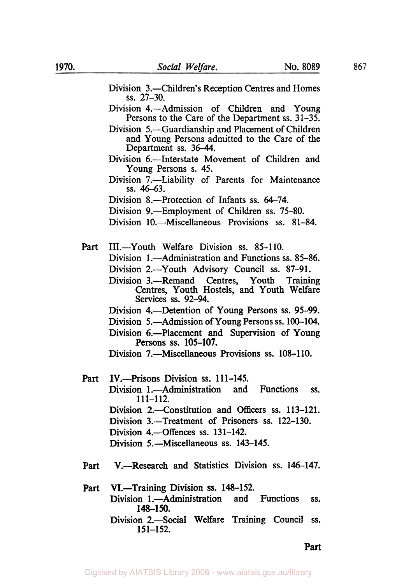- Division 3.-Children's Reception Centres and Homes Division 4.—Admission of Children and Young Persons to the Care of the Department ss. 31-35. Division 5.—Guardianship and Placement of Children and Young Persons admitted to the Care of the Department ss. 36-44. Division 6.—Interstate Movement of Children and Young Persons s. 45. Division 7.—Liability of Parents for Maintenance ss. 46-63. Division 8.—Protection of Infants ss. 64–74. Division 9.—Employment of Children ss. 75-80. Division 10.-Miscellaneous Provisions ss. 81-84. **SS.** 27-30. Part III.-Youth Welfare Division ss. 85-110. Division 1.—Administration and Functions ss. 85-86. Division 2.-Youth Advisory Council **ss.** 87-91. Division 3.—Remand Centres, Youth Training Centres, Youth Hostels, and Youth Welfare Services **ss.** 92-94. Division 4.-Detention of Young Persons ss. 95-99. Division 5.-Admission of Young Persons **ss.** 100-104. Division 6.—Placement and Supervision of Young Division 7.-Miscellaneous Provisions **ss.** 108-1 10. Persons **ss.** 105-107. Part IV.---Prisons Division ss. 111-145. Division 1.---Administration and Functions ss. Division 2.—Constitution and Officers ss. 113-121. Division 3.-Treatment of Prisoners **ss.** 122-130. Division 4.—Offences ss. 131-142. Division 5.-Miscellaneous **ss.** 143-145. 111-112. Part V.-Research and Statistics Division **ss.** 146-147.
- Part VI.-Training Division ss. 148-152. Division 1.—Administration and Functions ss. Division 2.-Social Welfare Training Council ss. 148-1 *50.*  151-152.

Part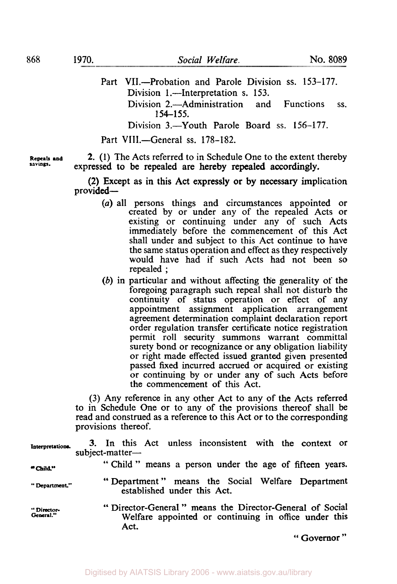Part VII.-Probation and Parole Division **ss.** 153-177. Division 1.—Interpretation s. 153. Division 2.-Administration and Functions ss. Division 3.—Youth Parole Board ss. 156-177. 154-155. Part VIII.-General ss. 178-182.

**Repeals and savings.** 

**2. (1)** The Acts referred to in Schedule One to the extent thereby expressed to be repealed are hereby repealed accordingly.

(2) Except as in this Act expressly or by necessary implication provided-

- *(a)* all persons things and circumstances appointed or created by or under any of the repealed Acts **or**  existing or continuing under any of such Acts immediately before the commencement of this Act shall under and subject to this Act continue to have the same status operation and effect as they respectively would have had if such Acts had not been **so**  repealed ;
- *(b)* in particular and without affecting the generality of the foregoing paragraph such repeal shall not disturb the continuity of status operation or effect of any appointment assignment application arrangement agreement determination complaint declaration report order regulation transfer certificate notice registration permit roll security summons warrant committal surety bond or recognizance or any obligation liability or right made effected issued granted given presented passed **fixed** incurred accrued or acquired or existing or continuing by or under any of such Acts before the commencement of this Act.

(3) Any reference in any other Act to any of the Acts referred to in Schedule One or to any of the provisions thereof shall be read and construed as a reference to this Act or to the corresponding provisions thereof.

**Interpretations. 3.** In this Act unless inconsistent with the context or

| Interpretations.        | subject-matter- |      |  |                             |  | 3. In this Act unless inconsistent with the context of                                                          |                  |
|-------------------------|-----------------|------|--|-----------------------------|--|-----------------------------------------------------------------------------------------------------------------|------------------|
| "Child."                |                 |      |  |                             |  | "Child" means a person under the age of fifteen years.                                                          |                  |
| "Department."           |                 |      |  | established under this Act. |  | "Department" means the Social Welfare Department                                                                |                  |
| "Director-<br>General." |                 | Act. |  |                             |  | "Director-General" means the Director-General of Social<br>Welfare appointed or continuing in office under this |                  |
|                         |                 |      |  |                             |  |                                                                                                                 | $\bullet\bullet$ |

" **Governor** "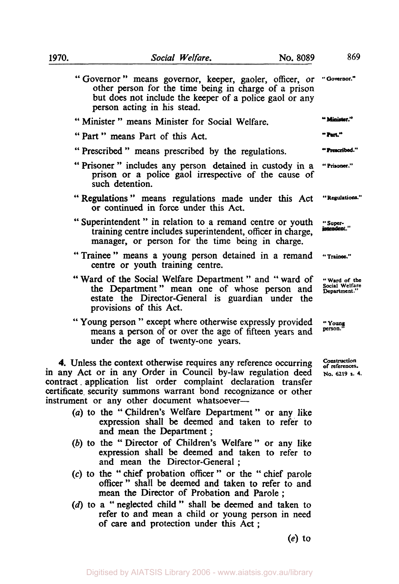| 1970. | Social Welfare.<br>No. 8089                                                                                                                                                                                           | 869                                            |
|-------|-----------------------------------------------------------------------------------------------------------------------------------------------------------------------------------------------------------------------|------------------------------------------------|
|       | "Governor" means governor, keeper, gaoler, officer, or "Governor."<br>other person for the time being in charge of a prison<br>but does not include the keeper of a police gaol or any<br>person acting in his stead. |                                                |
|       | "Minister" means Minister for Social Welfare.                                                                                                                                                                         | " Minister."                                   |
|       | "Part" means Part of this Act.                                                                                                                                                                                        | " Part."                                       |
|       | "Prescribed" means prescribed by the regulations.                                                                                                                                                                     | " Prescribed."                                 |
|       | "Prisoner" includes any person detained in custody in a<br>prison or a police gaol irrespective of the cause of<br>such detention.                                                                                    | "Prisoner."                                    |
|       | "Regulations" means regulations made under this Act<br>or continued in force under this Act.                                                                                                                          | "Regulations."                                 |
|       | "Superintendent" in relation to a remand centre or youth<br>training centre includes superintendent, officer in charge,<br>manager, or person for the time being in charge.                                           | "Super-<br>intendent."                         |
|       | "Trainee" means a young person detained in a remand "Trainee."<br>centre or youth training centre.                                                                                                                    |                                                |
|       | "Ward of the Social Welfare Department" and "ward of<br>the Department" mean one of whose person and                                                                                                                  | "Ward of the<br>Social Welfare<br>Department." |

the Department" mean one of whose person and **Social Welfare Department** estate the Director-General is guardian under the provisions of this Act.

" Young person " except where otherwise expressly provided means a person of or over the age of fifteen years and under the age of twenty-one years.

**4.** Unless the context otherwise requires any reference occurring in any Act or in any Order in Council by-law regulation deed contract . application list order complaint declaration transfer certificate. security summons warrant bond recognizance or other instrument or any other document whatsoever-

- *(a)* to the " Children's Welfare Department " or any like expression shall be deemed and taken to refer to and mean the Department ;
- (b) to the "Director of Children's Welfare" or any like expression shall be deemed and taken to refer to and mean the Director-General ;
- *(c)* to the " chief probation officer " or the " chief parole officer" shall be deemed and taken to refer to and mean **the** Director of Probation and Parole ;
- (d) to a "neglected child" shall be deemed and taken to refer **to** and mean a child or young person in need of care and protection under **this** Act ;

**(e)** to

**" Young** 

*Contruction of references.*  **No. 6219 S. 4.** 

Construction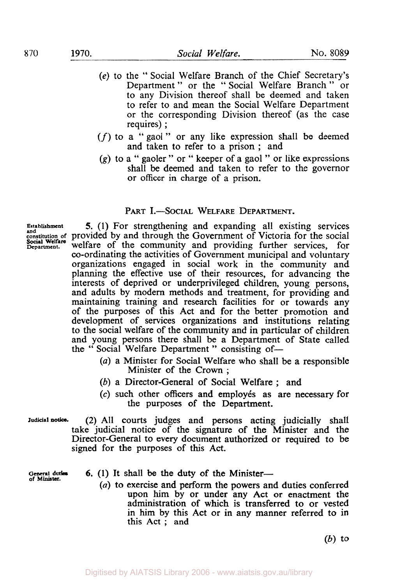- *(e)* to the " Social Welfare Branch of the Chief Secretary's Department" or the "Social Welfare Branch" or to any Division thereof shall be deemed and taken to refer to and mean the Social Welfare Department or the corresponding Division thereof (as the case requires) ;
- *(f)* to a "gaol" or any like expression shall be deemed and taken to refer to a prison ; and
- *(g)* to a " gaoler " or " keeper of a gaol " or like expressions shall be deemed and taken to refer to the governor or officer in charge of a prison.

## PART I.-SOCIAL WELFARE DEPARTMENT.

and<br>constitution of<br>**Social Welfare**<br>Department.

**Establishment 5.** (1) For strengthening and expanding all existing services provided by and through the Government of Victoria for the social welfare of the community and providing further services, for co-ordinating the activities of Government municipal and voluntary organizations engaged in social work in the community and planning the effective use of their resources, for advancing the interests of deprived or underprivileged children, young persons, and adults by modem methods and treatment, for providing and maintaining training and research facilities for or towards any of the purposes of this Act and for the better promotion and development of services organizations and institutions relating to the social welfare of the community and in particular of children and young persons there shall be a Department of State called the "Social Welfare Department" consisting of-

- *(a)* a Minister for Social Welfare who shall be a responsible Minister of the Crown ;
- *(b)* a Director-General of Social Welfare ; and
- (c) such other officers and employes as are necessary for the purposes of the Department.

**Judicial notice. (2)** All courts judges and persons acting judicially shall take judicial notice of the signature of the Minister and the Director-General to every document authorized or required to be **signed** for the purposes of this **Act.** 

**of Minister.** 

- 6. (1) It shall be the duty of the Minister--
	- *(a)* to exercise and perform the powers and duties conferred upon him by or under any Act or enactment the administration of which is transferred to or vested in him by this Act or in any manner referred to **in**  this Act ; and

*(b)* to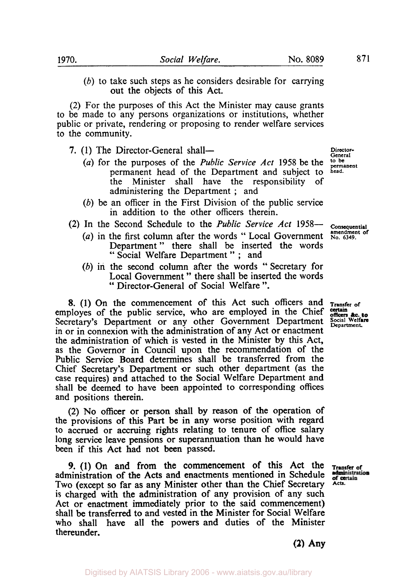*(b)* to take such steps as he considers desirable for carrying out the objects of this Act.

(2) For the purposes of this Act the Minister may cause grants to be made to any persons organizations or institutions, whether public or private, rendering or proposing to render welfare services to the community.

- 7. (1) The Director-General shall-
	- *(a)* for the purposes of the *Public Service Act* **1958** be the permanent head of the Department and subject to the Minister shall have the responsibility of administering the Department ; and
	- *(b)* be an officer in the First Division of the public service in addition to the other officers therein.
- **(2)** In the Second Schedule to the *Public Service Act* **1958-** 
	- (a) in the first column after the words "Local Government **No. 6349. amendment** of Department " there shall be inserted the words " Social Welfare Department " ; and
	- *(b)* in the second column after the words "Secretary for Local Government " there shall be inserted the words " Director-General of Social Welfare ".

**8.** (1) On the commencement of this Act such officers and **Transfer of** ployes of the public service, who are employed in the Chief certain **Action** certain **Action** certain **Action** certain **Action** certain **Constant** co employes of the public service, who are employed in the Chief Secretary's Department or any other Government Department Social Welfa in or in connexion with the administration of any Act or enactment the administration of which is vested in the Minister by this Act, **as** the Governor in Council upon the recommendation of the Public Service Board determines shall be transferred from the Chief Secretary's Department or such other department (as the case requires) and attached to the Social Welfare Department and shall be deemed to have been appointed to corresponding offices and positions therein.

(2) No officer or person shall by reason of the operation of the provisions of this Part be in any worse position with regard to accrued or accruing rights relating to tenure of office salary long service leave pensions or superannuation than he would have been if this Act had not been passed.

administration of the Acts and enactments mentioned in Schedule Two (except **so** far as any Minister other than the Chief Secretary **Acts.**  is charged with the administration of any provision of any such Act or enactment immediately prior to the said commencement) shall be transferred to and vested in the Minister for Social Welfare who shall have all the powers and duties of the Minister thereunder. *9.* (1) On and from the commencement **of** this Act the **Transfer of** 

**(2)** Any

**Director-General to be permanent head.** 

**Consequential** 

Digitised by AIATSIS Library 2006 - www.aiatsis.gov.au/library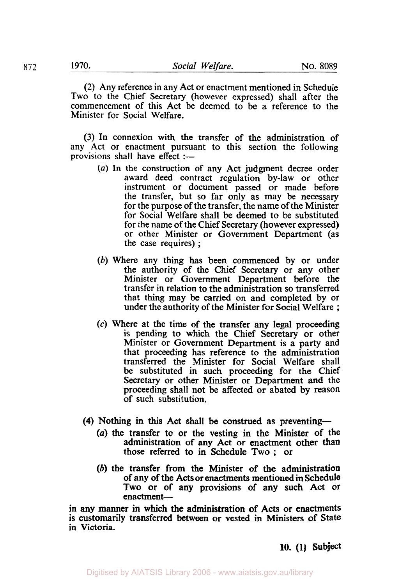(2) Any reference in any Act or enactment mentioned in Schedule Two to the Chief Secretary (however expressed) shall after the commencement of this Act be deemed to be a reference to the Minister for Social Welfare.

(3) In connexion with the transfer of the administration of any Act or enactment pursuant to this section the following provisions shall have effect  $:$ 

- (a) In the construction of any Act judgment decree order award deed contract regulation by-law or other instrument or document passed or made before the transfer, but so far only as may be necessary for the purpose of the transfer, the name of the Minister for Social Welfare shall be deemed to be substituted for the name of the Chief Secretary (however expressed) or other Minister or Government Department (as the case requires) ;
- (b) Where any thing has been commenced by or under the authority of the Chief Secretary or any other Minister or Government Department before the transfer in relation to the administration so transferred that thing may be carried on and completed by or under the authority of the Minister for Social Welfare ;
- *(c)* Where at the time of the transfer any legal proceeding is pending to which the Chief Secretary or other Minister or Government Department is a party and that proceeding has reference to the administration transferred the Minister for Social Welfare shall be substituted in such proceeding for the Chief Secretary or other Minister or Department and the proceeding shall not be affected or abated by reason of such substitution.
- **(4)** Nothing in this Act shall be construed as preventing-
	- *(a)* the transfer to or the vesting in the Minister of the administration of any Act or enactment other than those referred to in Schedule Two ; or
	- (b) the transfer from the Minister of the administration of any of the **Acts** or enactments mentioned in Schedule **Two** or of any provisions **of** any such Act or enactment-

in any manner in which the administration of **Acts** or enactments is customarily transferred between or vested in Ministers of State in Victoria.

**10. (1) Subject**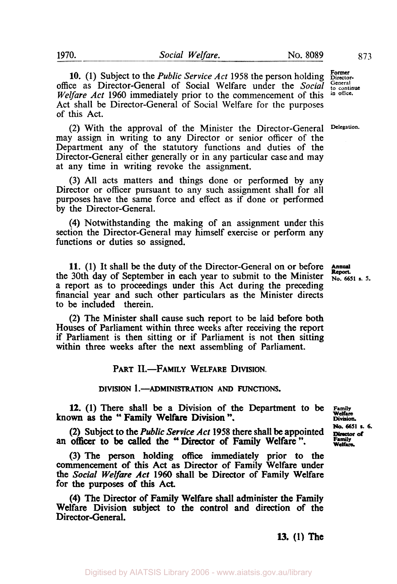10. (1) Subject to the *Public Service Act* 1958 the person holding **Express**<br> **Former Conserved** Of Social Welfare under the Social <sup>General</sup> office as Director-General of Social Welfare under the *Social* General *Welfare Act* 1960 immediately prior to the commencement of this in office. *Welfare Act* 1960 immediately prior to the commencement of this Act shall be Director-General of Social Welfare for the purposes of this Act.

(2) With the approval of the Minister the Director-General **Delegation.**  may assign in writing to any Director or senior officer of the Department any of the statutory functions and duties of the Director-General either generally or in any particular case and may at any time in writing revoke the assignment.

(3) All acts matters and things done or performed by any Director or officer pursuant to any such assignment shall for all purposes have the same force and effect as if done or performed by the Director-General.

**(4)** Notwithstanding the making of an assignment under this section the Director-General may himself exercise or perform any functions or duties so assigned.

11. **(1)** It shall be the duty of the Director-General on or before the 30th day of September in each year to submit to the Minister **No. 6651 s.** 5. a report as to proceedings under this Act during the preceding financial year and such other particulars as the Minister directs to be included therein.

(2) The Minister shall cause such report to be laid before both Houses of Parliament within three weeks after receiving the report if Parliament is then sitting or if Parliament is not then sitting within three weeks after the next assembling of Parliament.

PART II.-FAMILY WELFARE DIVISION.

DIVISION 1.-ADMINISTRATION **AND** FUNCTIONS.

**12. (1)** There shall be a Division of the Department to be **Family known as** the " Family Welfare Division ".

**(2)** Subject to the *Public* Service *Act* **1958** there shall be appointed **an officer** to be called the "Director of Family Welfare ".

(3) The person holding **office** immediately prior to the commencement of this Act as Director of Family Welfare under the *Social* Welfare *Act* **1960** shall be Director of Family Welfare for the purposes of **this** Act.

**(4)** The Director of Family Welfare shall administer the Family Welfare Division **subject** to the control and direction **of** the Director-General.

**W. (1)** The

**Annual** 

**Welfare Division. No. 6651 s.** *6.*  **Director of**<br>Family **Welfare.**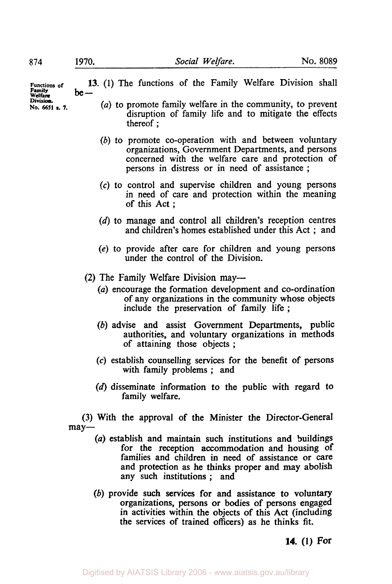**13.** (1) The functions of the Family Welfare Division shall be-*(a)* to promote family welfare in the community, to prevent disruption of family life and to mitigate the effects thereof ; (b) to promote co-operation with and between voluntary organizations, Government Departments, and persons concerned with the welfare care and protection of **Functions** of **Welfare Division No. 6651 s.** *7.* 

> (c) to control and supervise children and young persons in need of care and protection within the meaning of this Act ;

persons in distress or in need of assistance ;

- (d) to manage and control all children's reception centres and children's homes established under this Act ; and
- (e) to provide after care for children and young persons under the control of the Division.
- (2) The Family Welfare Division may-
	- (a) encourage the formation development and co-ordination of any organizations in the community whose objects include the preservation of family life ;
	- (b) advise and assist Government Departments, public authorities, and voluntary organizations in methods of attaining those objects ;
	- (c) establish counselling services for the benefit of persons with family problems ; and
	- (d) disseminate information to the public with regard to family welfare.

(3) With the approval of the Minister the Director-General may-

- *(a)* establish and maintain such institutions and buildings for the reception accommodation and housing of families and children in need of assistance or care and protection as he thinks proper and may abolish any such institutions; and
- *(b)* provide such services for and assistance to voluntary organizations, persons or bodies of persons engaged in activities within the objects of this Act (including the services of trained officers) as he thinks fit.

**14. (1) For**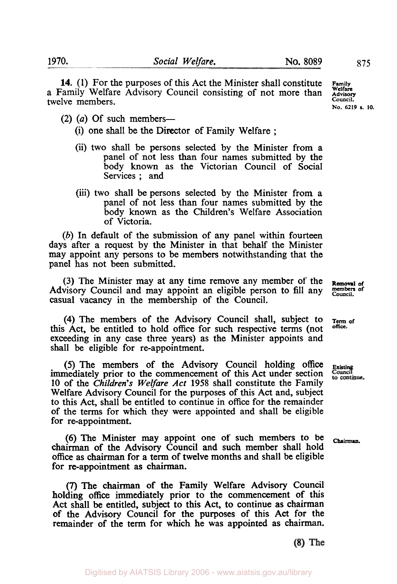**14. (1)** For the purposes of this Act the Minister shall constitute a Family Welfare Advisory Council consisting of not more than twelve members.

- $(2)$   $(a)$  Of such members-
	- (i) one shall be the Director of Family Welfare ;
	- (ii) two shall be persons selected by the Minister from a panel of not less than four names submitted by the body **known** as the Victorian Council of Social Services ; and
	- (iii) two shall be persons selected by the Minister from a panel of not less than four names submitted by the body **known** as the Children's Welfare Association of Victoria.

(b) In default of the submission of any panel within fourteen days after a request by the Minister in that behalf the Minister may appoint any persons to be members notwithstanding that the panel has not been submitted.

(3) The Minister may at any time remove any member of the **Removal of** visory Council and may appoint an eligible person to fill any members of Advisory Council and may appoint an eligible person to fill any members casual vacancy in the membership of the Council.

(4) The members of the Advisory Council shall, subject to  $T_{\text{erm of}}$ <br> $\Lambda$  at he applied to half  $\Lambda$  affect for our approaching terms (not office.) this Act, be entitled to hold office for such respective terms (not **Office**exceeding in any case three years) as the Minister appoints and shall be eligible for re-appointment.

immediately prior to the commencement of this Act under section *10* of the *Children's Welfare* Act 1958 shall constitute the Family Welfare Advisory Council for the purposes of this Act and, subject to this Act, shall be entitled to continue in office for the remainder of the terms for which they were appointed and shall be eligible for re-appointment. *(5)* The members of the Advisory Council holding office **Existing** 

(6) The Minister may appoint one of such members to be **Chairman**  chairman of the Advisory Council and such member shall hold **office** as chairman for a term of twelve months and shall be eligible for re-appointment as chairman.

*(7)* The chairman of the Family Welfare Advisory Council holding office immediately prior to the commencement of this Act shall be entitled, subject to this Act, to continue as chairman of the Advisory Council for the purposes of this **Act** for the remainder of the term for which he was appointed as chairman.

to continue.

 $(8)$  The

**Family Welfare Advisory Council. No. 6219 s. 10.**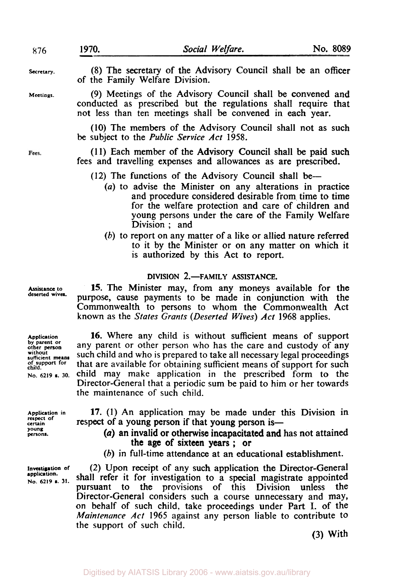| 876        | 1970. | Social Welfare.                                                                                                                                                                            | No. 8089 |
|------------|-------|--------------------------------------------------------------------------------------------------------------------------------------------------------------------------------------------|----------|
| Secretary. |       | (8) The secretary of the Advisory Council shall be an officer<br>of the Family Welfare Division.                                                                                           |          |
| Meetings.  |       | (9) Meetings of the Advisory Council shall be convened and<br>conducted as prescribed but the regulations shall require that<br>not less than ten meetings shall be convened in each year. |          |
|            |       | (10) The members of the Advisory Council shall not as such<br>be subject to the <i>Public Service Act</i> 1958.                                                                            |          |
| Fees.      |       | (11) Each member of the Advisory Council shall be paid such<br>fees and travelling expenses and allowances as are prescribed.                                                              |          |
|            |       | (12) The functions of the Advisory Council shall be—<br>(a) to advise the Minister on any alterations in practice                                                                          |          |

- *(a)* to advise the Minister on any alterations in practice and procedure considered desirable from, time to time for the welfare protection and care of children and young persons under the care of the Family Welfare Division ; and
- (b) to report on any matter of a like or allied nature referred to it by the Minister or on any matter on which it is authorized by this Act to report.

## **DIVISION 2.-FAMILY ASSISTANCE.**

**15.** The Minister may, from any moneys available for the purpose, cause payments to be made in conjunction with the Commonwealth to persons to whom the Commonwealth Act known as the *States Grants (Deserted Wives) Act* **1968** applies.

**16.** Where any child is without sufficient means of support any parent or other person who has the care and custody of any such child and who is prepared to take all necessary legal proceedings that are available for obtaining sufficient means of support for such child may make application in the prescribed form to the Director-General that a periodic sum be paid to him or her towards the maintenance of such child.

**Application in respect of certain young persons.** 

**Investigation of application. No. 6219 s. 31.** 

**17. (1)** An application may be made under this Division in respect of a young person if that young person is—

- *(a)* an invalid or otherwise incapacitated and has not attained the age of sixteen years ; or
- (b) in full-time attendance at an educational establishment.

(2) Upon receipt of any such application the Director-General shall refer it for investigation to a special magistrate appointed pursuant to **the** provisions of this Division unless the Director-General considers such a course unnecessary and may, on behalf of such child, take proceedings under Part I. of the *Maintenance Act* **1965** against any person liable to contribute to the support of such child.

**(3)** With

**Assistance to deserted wives.** 

**Application by parent or other person without sufficient means** 

**No. 6219 s.** *30.*  **of support for** 

**child.**